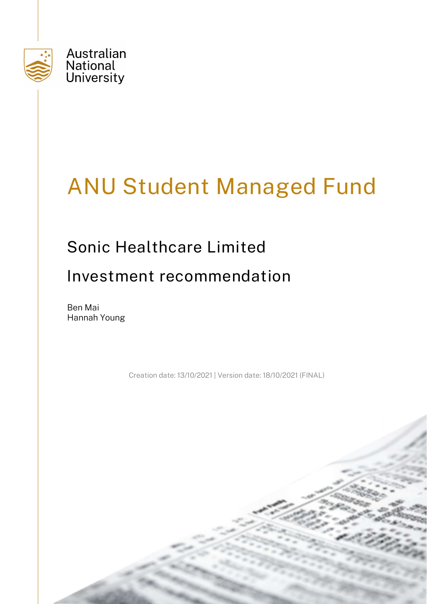

# ANU Student Managed Fund

## Sonic Healthcare Limited

## Investment recommendation

Ben Mai Hannah Young

Creation date: 13/10/2021 | Version date: 18/10/2021 (FINAL)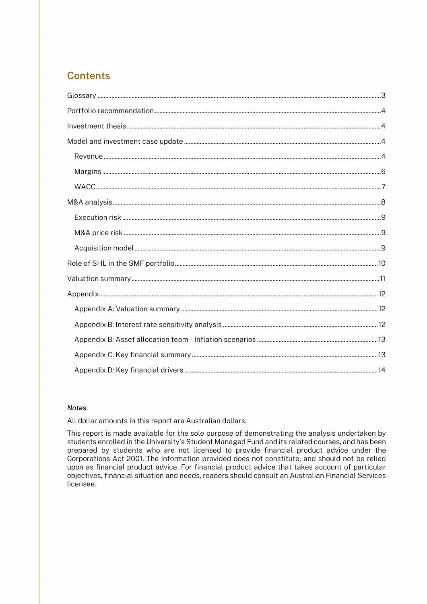## **Contents**

#### Notes:

All dollar amounts in this report are Australian dollars.

This report is made available for the sole purpose of demonstrating the analysis undertaken by students enrolled in the University's Student Managed Fund and its related courses, and has been prepared by students who are not licensed to provide financial product advice under the Corporations Act 2001. The information provided does not constitute, and should not be relied upon as financial product advice. For financial product advice that takes account of particular objectives, financial situation and needs, readers should consult an Australian Financial Services licensee.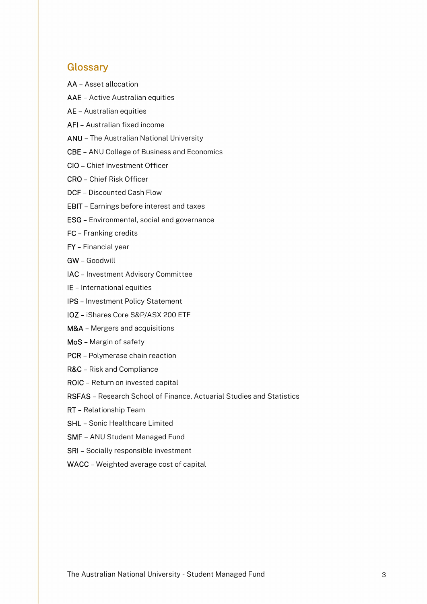## **Glossary**

- AA Asset allocation
- AAE Active Australian equities
- AE Australian equities
- AFI Australian fixed income
- ANU The Australian National University
- CBE ANU College of Business and Economics
- CIO Chief Investment Officer
- CRO Chief Risk Officer
- DCF Discounted Cash Flow
- EBIT Earnings before interest and taxes
- ESG Environmental, social and governance
- FC Franking credits
- FY Financial year
- GW Goodwill
- IAC Investment Advisory Committee
- IE International equities
- IPS Investment Policy Statement
- IOZ iShares Core S&P/ASX 200 ETF
- M&A Mergers and acquisitions
- MoS Margin of safety
- PCR Polymerase chain reaction
- R&C Risk and Compliance
- ROIC Return on invested capital
- RSFAS Research School of Finance, Actuarial Studies and Statistics
- RT Relationship Team
- SHL Sonic Healthcare Limited
- SMF ANU Student Managed Fund
- SRI Socially responsible investment
- WACC Weighted average cost of capital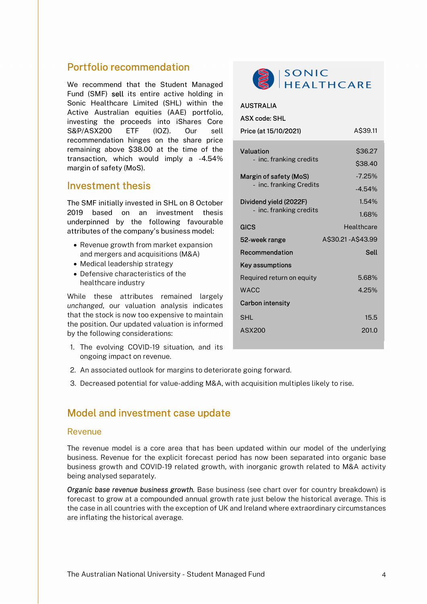### Portfolio recommendation

We recommend that the Student Managed Fund (SMF) sell its entire active holding in Sonic Healthcare Limited (SHL) within the Active Australian equities (AAE) portfolio, investing the proceeds into iShares Core S&P/ASX200 ETF (IOZ). Our sell recommendation hinges on the share price remaining above \$38.00 at the time of the transaction, which would imply a -4.54% margin of safety (MoS).

#### Investment thesis

The SMF initially invested in SHL on 8 October 2019 based on an investment thesis underpinned by the following favourable attributes of the company's business model:

- Revenue growth from market expansion and mergers and acquisitions (M&A)
- Medical leadership strategy
- Defensive characteristics of the healthcare industry

While these attributes remained largely unchanged, our valuation analysis indicates that the stock is now too expensive to maintain the position. Our updated valuation is informed by the following considerations:

1. The evolving COVID-19 situation, and its ongoing impact on revenue.



| <b>AUSTRALIA</b>          |                   |
|---------------------------|-------------------|
| <b>ASX code: SHL</b>      |                   |
| Price (at 15/10/2021)     | A\$39.11          |
| <b>Valuation</b>          | \$36.27           |
| - inc. franking credits   | \$38.40           |
| Margin of safety (MoS)    | $-7.25%$          |
| - inc. franking Credits   | $-4.54%$          |
| Dividend yield (2022F)    | 1.54%             |
| - inc. franking credits   | 1.68%             |
| <b>GICS</b>               | Healthcare        |
| 52-week range             | A\$30.21-A\$43.99 |
| Recommendation            | <b>Sell</b>       |
| Key assumptions           |                   |
| Required return on equity | 5.68%             |
| <b>WACC</b>               | 4.25%             |
| <b>Carbon intensity</b>   |                   |
| <b>SHL</b>                | 15.5              |
| <b>ASX200</b>             | 201.0             |
|                           |                   |

- 2. An associated outlook for margins to deteriorate going forward.
- 3. Decreased potential for value-adding M&A, with acquisition multiples likely to rise.

## Model and investment case update

#### Revenue

The revenue model is a core area that has been updated within our model of the underlying business. Revenue for the explicit forecast period has now been separated into organic base business growth and COVID-19 related growth, with inorganic growth related to M&A activity being analysed separately.

Organic base revenue business growth. Base business (see chart over for country breakdown) is forecast to grow at a compounded annual growth rate just below the historical average. This is the case in all countries with the exception of UK and Ireland where extraordinary circumstances are inflating the historical average.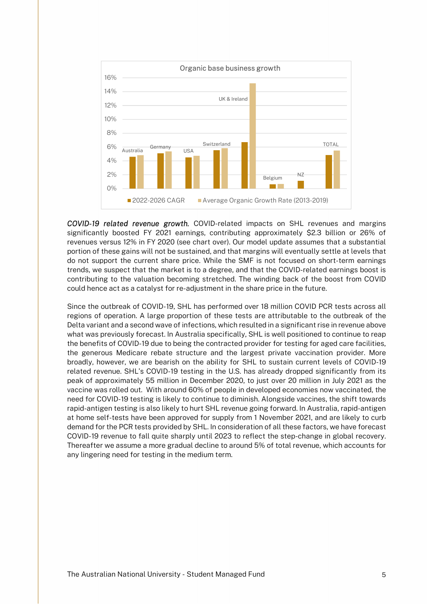

COVID-19 related revenue growth. COVID-related impacts on SHL revenues and margins significantly boosted FY 2021 earnings, contributing approximately \$2.3 billion or 26% of revenues versus 12% in FY 2020 (see chart over). Our model update assumes that a substantial portion of these gains will not be sustained, and that margins will eventually settle at levels that do not support the current share price. While the SMF is not focused on short-term earnings trends, we suspect that the market is to a degree, and that the COVID-related earnings boost is contributing to the valuation becoming stretched. The winding back of the boost from COVID could hence act as a catalyst for re-adjustment in the share price in the future.

Since the outbreak of COVID-19, SHL has performed over 18 million COVID PCR tests across all regions of operation. A large proportion of these tests are attributable to the outbreak of the Delta variant and a second wave of infections, which resulted in a significant rise in revenue above what was previously forecast. In Australia specifically, SHL is well positioned to continue to reap the benefits of COVID-19 due to being the contracted provider for testing for aged care facilities, the generous Medicare rebate structure and the largest private vaccination provider. More broadly, however, we are bearish on the ability for SHL to sustain current levels of COVID-19 related revenue. SHL's COVID-19 testing in the U.S. has already dropped significantly from its peak of approximately 55 million in December 2020, to just over 20 million in July 2021 as the vaccine was rolled out. With around 60% of people in developed economies now vaccinated, the need for COVID-19 testing is likely to continue to diminish. Alongside vaccines, the shift towards rapid-antigen testing is also likely to hurt SHL revenue going forward. In Australia, rapid-antigen at home self-tests have been approved for supply from 1 November 2021, and are likely to curb demand for the PCR tests provided by SHL. In consideration of all these factors, we have forecast COVID-19 revenue to fall quite sharply until 2023 to reflect the step-change in global recovery. Thereafter we assume a more gradual decline to around 5% of total revenue, which accounts for any lingering need for testing in the medium term.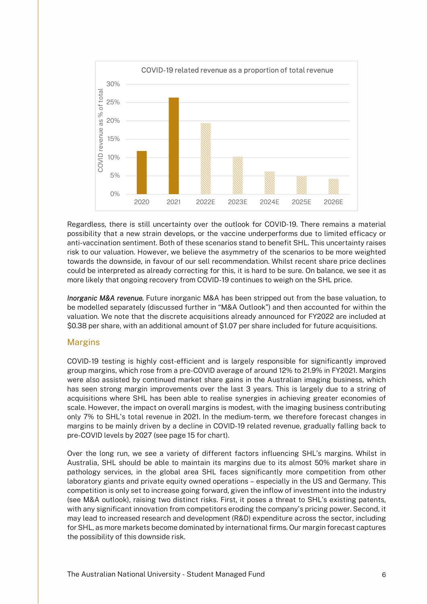

Regardless, there is still uncertainty over the outlook for COVID-19. There remains a material possibility that a new strain develops, or the vaccine underperforms due to limited efficacy or anti-vaccination sentiment. Both of these scenarios stand to benefit SHL. This uncertainty raises risk to our valuation. However, we believe the asymmetry of the scenarios to be more weighted towards the downside, in favour of our sell recommendation. Whilst recent share price declines could be interpreted as already correcting for this, it is hard to be sure. On balance, we see it as more likely that ongoing recovery from COVID-19 continues to weigh on the SHL price.

**Inorganic M&A revenue.** Future inorganic M&A has been stripped out from the base valuation, to be modelled separately (discussed further in "M&A Outlook") and then accounted for within the valuation. We note that the discrete acquisitions already announced for FY2022 are included at \$0.38 per share, with an additional amount of \$1.07 per share included for future acquisitions.

#### Margins

COVID-19 testing is highly cost-efficient and is largely responsible for significantly improved group margins, which rose from a pre-COVID average of around 12% to 21.9% in FY2021. Margins were also assisted by continued market share gains in the Australian imaging business, which has seen strong margin improvements over the last 3 years. This is largely due to a string of acquisitions where SHL has been able to realise synergies in achieving greater economies of scale. However, the impact on overall margins is modest, with the imaging business contributing only 7% to SHL's total revenue in 2021. In the medium-term, we therefore forecast changes in margins to be mainly driven by a decline in COVID-19 related revenue, gradually falling back to pre-COVID levels by 2027 (see page 15 for chart).

Over the long run, we see a variety of different factors influencing SHL's margins. Whilst in Australia, SHL should be able to maintain its margins due to its almost 50% market share in pathology services, in the global area SHL faces significantly more competition from other laboratory giants and private equity owned operations – especially in the US and Germany. This competition is only set to increase going forward, given the inflow of investment into the industry (see M&A outlook), raising two distinct risks. First, it poses a threat to SHL's existing patents, with any significant innovation from competitors eroding the company's pricing power. Second, it may lead to increased research and development (R&D) expenditure across the sector, including for SHL, as more markets become dominated by international firms. Our margin forecast captures the possibility of this downside risk.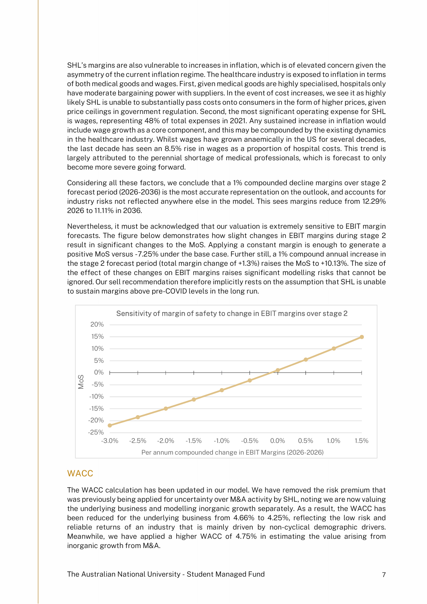SHL's margins are also vulnerable to increases in inflation, which is of elevated concern given the asymmetry of the current inflation regime. The healthcare industry is exposed to inflation in terms of both medical goods and wages. First, given medical goods are highly specialised, hospitals only have moderate bargaining power with suppliers. In the event of cost increases, we see it as highly likely SHL is unable to substantially pass costs onto consumers in the form of higher prices, given price ceilings in government regulation. Second, the most significant operating expense for SHL is wages, representing 48% of total expenses in 2021. Any sustained increase in inflation would include wage growth as a core component, and this may be compounded by the existing dynamics in the healthcare industry. Whilst wages have grown anaemically in the US for several decades, the last decade has seen an 8.5% rise in wages as a proportion of hospital costs. This trend is largely attributed to the perennial shortage of medical professionals, which is forecast to only become more severe going forward.

Considering all these factors, we conclude that a 1% compounded decline margins over stage 2 forecast period (2026-2036) is the most accurate representation on the outlook, and accounts for industry risks not reflected anywhere else in the model. This sees margins reduce from 12.29% 2026 to 11.11% in 2036.

Nevertheless, it must be acknowledged that our valuation is extremely sensitive to EBIT margin forecasts. The figure below demonstrates how slight changes in EBIT margins during stage 2 result in significant changes to the MoS. Applying a constant margin is enough to generate a positive MoS versus -7.25% under the base case. Further still, a 1% compound annual increase in the stage 2 forecast period (total margin change of +1.3%) raises the MoS to +10.13%. The size of the effect of these changes on EBIT margins raises significant modelling risks that cannot be ignored. Our sell recommendation therefore implicitly rests on the assumption that SHL is unable to sustain margins above pre-COVID levels in the long run.



#### **WACC**

The WACC calculation has been updated in our model. We have removed the risk premium that was previously being applied for uncertainty over M&A activity by SHL, noting we are now valuing the underlying business and modelling inorganic growth separately. As a result, the WACC has been reduced for the underlying business from 4.66% to 4.25%, reflecting the low risk and reliable returns of an industry that is mainly driven by non-cyclical demographic drivers. Meanwhile, we have applied a higher WACC of 4.75% in estimating the value arising from inorganic growth from M&A.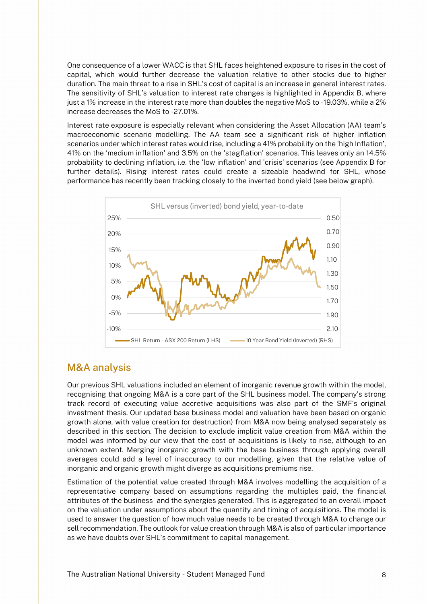One consequence of a lower WACC is that SHL faces heightened exposure to rises in the cost of capital, which would further decrease the valuation relative to other stocks due to higher duration. The main threat to a rise in SHL's cost of capital is an increase in general interest rates. The sensitivity of SHL's valuation to interest rate changes is highlighted in Appendix B, where just a 1% increase in the interest rate more than doubles the negative MoS to -19.03%, while a 2% increase decreases the MoS to -27.01%.

Interest rate exposure is especially relevant when considering the Asset Allocation (AA) team's macroeconomic scenario modelling. The AA team see a significant risk of higher inflation scenarios under which interest rates would rise, including a 41% probability on the 'high Inflation', 41% on the 'medium inflation' and 3.5% on the 'stagflation' scenarios. This leaves only an 14.5% probability to declining inflation, i.e. the 'low inflation' and 'crisis' scenarios (see Appendix B for further details). Rising interest rates could create a sizeable headwind for SHL, whose performance has recently been tracking closely to the inverted bond yield (see below graph).



## M&A analysis

Our previous SHL valuations included an element of inorganic revenue growth within the model, recognising that ongoing M&A is a core part of the SHL business model. The company's strong track record of executing value accretive acquisitions was also part of the SMF's original investment thesis. Our updated base business model and valuation have been based on organic growth alone, with value creation (or destruction) from M&A now being analysed separately as described in this section. The decision to exclude implicit value creation from M&A within the model was informed by our view that the cost of acquisitions is likely to rise, although to an unknown extent. Merging inorganic growth with the base business through applying overall averages could add a level of inaccuracy to our modelling, given that the relative value of inorganic and organic growth might diverge as acquisitions premiums rise.

Estimation of the potential value created through M&A involves modelling the acquisition of a representative company based on assumptions regarding the multiples paid, the financial attributes of the business and the synergies generated. This is aggregated to an overall impact on the valuation under assumptions about the quantity and timing of acquisitions. The model is used to answer the question of how much value needs to be created through M&A to change our sell recommendation. The outlook for value creation through M&A is also of particular importance as we have doubts over SHL's commitment to capital management.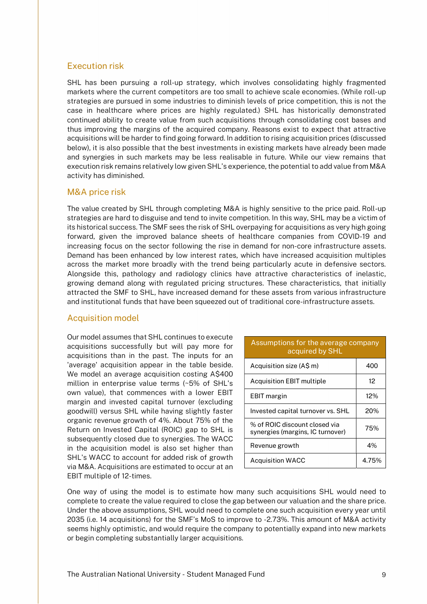#### Execution risk

SHL has been pursuing a roll-up strategy, which involves consolidating highly fragmented markets where the current competitors are too small to achieve scale economies. (While roll-up strategies are pursued in some industries to diminish levels of price competition, this is not the case in healthcare where prices are highly regulated.) SHL has historically demonstrated continued ability to create value from such acquisitions through consolidating cost bases and thus improving the margins of the acquired company. Reasons exist to expect that attractive acquisitions will be harder to find going forward. In addition to rising acquisition prices (discussed below), it is also possible that the best investments in existing markets have already been made and synergies in such markets may be less realisable in future. While our view remains that execution risk remains relatively low given SHL's experience, the potential to add value from M&A activity has diminished.

#### M&A price risk

The value created by SHL through completing M&A is highly sensitive to the price paid. Roll-up strategies are hard to disguise and tend to invite competition. In this way, SHL may be a victim of its historical success. The SMF sees the risk of SHL overpaying for acquisitions as very high going forward, given the improved balance sheets of healthcare companies from COVID-19 and increasing focus on the sector following the rise in demand for non-core infrastructure assets. Demand has been enhanced by low interest rates, which have increased acquisition multiples across the market more broadly with the trend being particularly acute in defensive sectors. Alongside this, pathology and radiology clinics have attractive characteristics of inelastic, growing demand along with regulated pricing structures. These characteristics, that initially attracted the SMF to SHL, have increased demand for these assets from various infrastructure and institutional funds that have been squeezed out of traditional core-infrastructure assets.

#### Acquisition model

Our model assumes that SHL continues to execute acquisitions successfully but will pay more for acquisitions than in the past. The inputs for an 'average' acquisition appear in the table beside. We model an average acquisition costing A\$400 million in enterprise value terms (~5% of SHL's own value), that commences with a lower EBIT margin and invested capital turnover (excluding goodwill) versus SHL while having slightly faster organic revenue growth of 4%. About 75% of the Return on Invested Capital (ROIC) gap to SHL is subsequently closed due to synergies. The WACC in the acquisition model is also set higher than SHL's WACC to account for added risk of growth via M&A. Acquisitions are estimated to occur at an EBIT multiple of 12-times.

| Assumptions for the average company<br>acquired by SHL            |        |
|-------------------------------------------------------------------|--------|
| Acquisition size (A\$ m)                                          | 400    |
| <b>Acquisition EBIT multiple</b>                                  | 12     |
| <b>EBIT</b> margin                                                | $12\%$ |
| Invested capital turnover vs. SHL                                 | 20%    |
| % of ROIC discount closed via<br>synergies (margins, IC turnover) | 75%    |
| Revenue growth                                                    | 4%     |
| <b>Acquisition WACC</b>                                           | 4.75%  |

One way of using the model is to estimate how many such acquisitions SHL would need to complete to create the value required to close the gap between our valuation and the share price. Under the above assumptions, SHL would need to complete one such acquisition every year until 2035 (i.e. 14 acquisitions) for the SMF's MoS to improve to -2.73%. This amount of M&A activity seems highly optimistic, and would require the company to potentially expand into new markets or begin completing substantially larger acquisitions.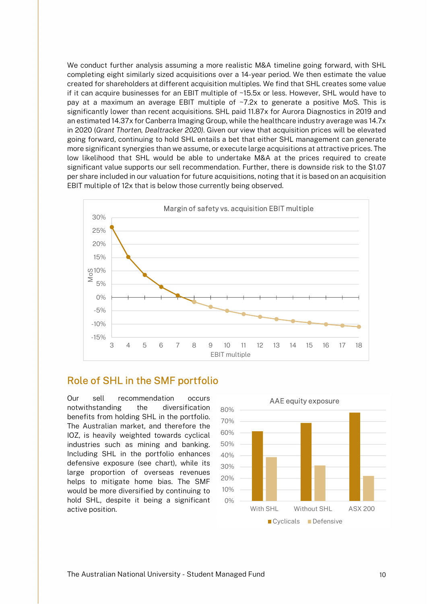We conduct further analysis assuming a more realistic M&A timeline going forward, with SHL completing eight similarly sized acquisitions over a 14-year period. We then estimate the value created for shareholders at different acquisition multiples. We find that SHL creates some value if it can acquire businesses for an EBIT multiple of ~15.5x or less. However, SHL would have to pay at a maximum an average EBIT multiple of ~7.2x to generate a positive MoS. This is significantly lower than recent acquisitions. SHL paid 11.87x for Aurora Diagnostics in 2019 and an estimated 14.37x for Canberra Imaging Group, while the healthcare industry average was 14.7x in 2020 (Grant Thorten, Dealtracker 2020). Given our view that acquisition prices will be elevated going forward, continuing to hold SHL entails a bet that either SHL management can generate more significant synergies than we assume, or execute large acquisitions at attractive prices. The low likelihood that SHL would be able to undertake M&A at the prices required to create significant value supports our sell recommendation. Further, there is downside risk to the \$1.07 per share included in our valuation for future acquisitions, noting that it is based on an acquisition EBIT multiple of 12x that is below those currently being observed.



### Role of SHL in the SMF portfolio

Our sell recommendation occurs notwithstanding the diversification benefits from holding SHL in the portfolio. The Australian market, and therefore the IOZ, is heavily weighted towards cyclical industries such as mining and banking. Including SHL in the portfolio enhances defensive exposure (see chart), while its large proportion of overseas revenues helps to mitigate home bias. The SMF would be more diversified by continuing to hold SHL, despite it being a significant active position.

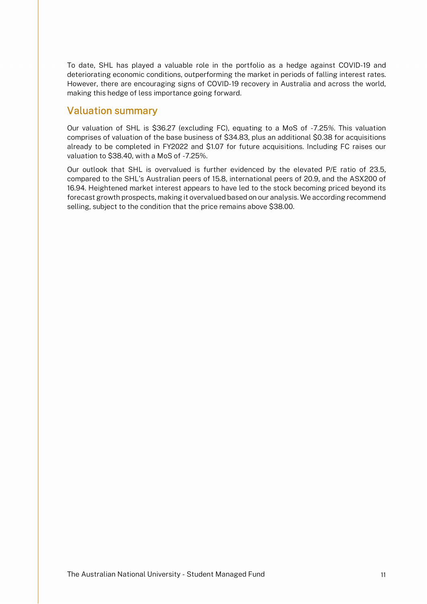To date, SHL has played a valuable role in the portfolio as a hedge against COVID-19 and deteriorating economic conditions, outperforming the market in periods of falling interest rates. However, there are encouraging signs of COVID-19 recovery in Australia and across the world, making this hedge of less importance going forward.

## Valuation summary

Our valuation of SHL is \$36.27 (excluding FC), equating to a MoS of -7.25%. This valuation comprises of valuation of the base business of \$34.83, plus an additional \$0.38 for acquisitions already to be completed in FY2022 and \$1.07 for future acquisitions. Including FC raises our valuation to \$38.40, with a MoS of -7.25%.

Our outlook that SHL is overvalued is further evidenced by the elevated P/E ratio of 23.5, compared to the SHL's Australian peers of 15.8, international peers of 20.9, and the ASX200 of 16.94. Heightened market interest appears to have led to the stock becoming priced beyond its forecast growth prospects, making it overvalued based on our analysis. We according recommend selling, subject to the condition that the price remains above \$38.00.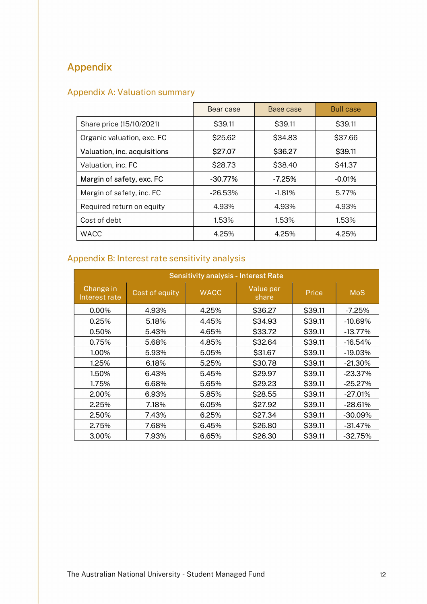## Appendix

## Appendix A: Valuation summary

|                              | Bear case  | Base case | <b>Bull case</b> |
|------------------------------|------------|-----------|------------------|
| Share price (15/10/2021)     | \$39.11    | \$39.11   | \$39.11          |
| Organic valuation, exc. FC   | \$25.62    | \$34.83   | \$37.66          |
| Valuation, inc. acquisitions | \$27.07    | \$36.27   | \$39.11          |
| Valuation, inc. FC           | \$28.73    | \$38.40   | \$41.37          |
| Margin of safety, exc. FC    | $-30.77\%$ | $-7.25%$  | $-0.01%$         |
| Margin of safety, inc. FC    | -26.53%    | $-1.81%$  | 5.77%            |
| Required return on equity    | 4.93%      | 4.93%     | 4.93%            |
| Cost of debt                 | 1.53%      | 1.53%     | 1.53%            |
| <b>WACC</b>                  | 4.25%      | 4.25%     | 4.25%            |

## Appendix B: Interest rate sensitivity analysis

| <b>Sensitivity analysis - Interest Rate</b> |                |             |                    |         |            |  |
|---------------------------------------------|----------------|-------------|--------------------|---------|------------|--|
| Change in<br>Interest rate                  | Cost of equity | <b>WACC</b> | Value per<br>share | Price   | <b>MoS</b> |  |
| $0.00\%$                                    | 4.93%          | 4.25%       | \$36.27            | \$39.11 | $-7.25%$   |  |
| 0.25%                                       | 5.18%          | 4.45%       | \$34.93            | \$39.11 | $-10.69%$  |  |
| 0.50%                                       | 5.43%          | 4.65%       | \$33.72            | \$39.11 | $-13.77%$  |  |
| 0.75%                                       | 5.68%          | 4.85%       | \$32.64            | \$39.11 | $-16.54%$  |  |
| 1.00%                                       | 5.93%          | 5.05%       | \$31.67            | \$39.11 | $-19.03%$  |  |
| 1.25%                                       | 6.18%          | 5.25%       | \$30.78            | \$39.11 | $-21.30\%$ |  |
| 1.50%                                       | 6.43%          | 5.45%       | \$29.97            | \$39.11 | $-23.37%$  |  |
| 1.75%                                       | 6.68%          | 5.65%       | \$29.23            | \$39.11 | $-25.27%$  |  |
| 2.00%                                       | 6.93%          | 5.85%       | \$28.55            | \$39.11 | $-27.01%$  |  |
| 2.25%                                       | 7.18%          | 6.05%       | \$27.92            | \$39.11 | $-28.61%$  |  |
| 2.50%                                       | 7.43%          | 6.25%       | \$27.34            | \$39.11 | $-30.09%$  |  |
| 2.75%                                       | 7.68%          | 6.45%       | \$26.80            | \$39.11 | $-31.47%$  |  |
| 3.00%                                       | 7.93%          | 6.65%       | \$26.30            | \$39.11 | $-32.75%$  |  |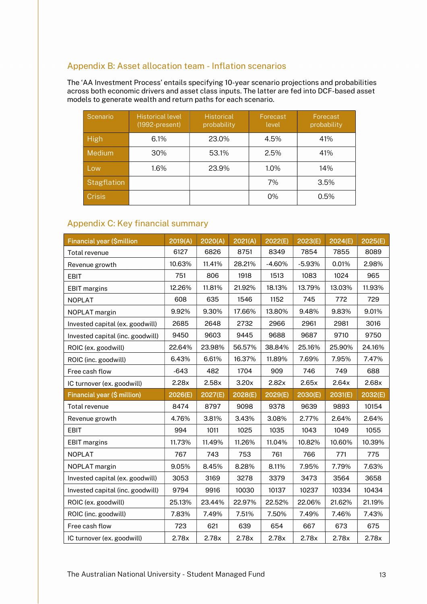#### Appendix B: Asset allocation team - Inflation scenarios

The 'AA Investment Process' entails specifying 10-year scenario projections and probabilities across both economic drivers and asset class inputs. The latter are fed into DCF-based asset models to generate wealth and return paths for each scenario.

| Scenario           | <b>Historical level</b><br>$(1992-present)$ | <b>Historical</b><br>probability | Forecast<br>level | Forecast<br>probability |
|--------------------|---------------------------------------------|----------------------------------|-------------------|-------------------------|
| <b>High</b>        | 6.1%                                        | 23.0%                            | 4.5%              | 41%                     |
| Medium             | 30%                                         | 53.1%                            | 2.5%              | 41%                     |
| Low                | 1.6%                                        | 23.9%                            | $1.0\%$           | 14%                     |
| <b>Stagflation</b> |                                             |                                  | 7%                | 3.5%                    |
| <b>Crisis</b>      |                                             |                                  | 0%                | 0.5%                    |

#### Appendix C: Key financial summary

| <b>Financial year (\$million</b> | 2019(A) | 2020(A) | 2021(A) | 2022(E)  | 2023(E)  | 2024(E) | 2025(E) |
|----------------------------------|---------|---------|---------|----------|----------|---------|---------|
| Total revenue                    | 6127    | 6826    | 8751    | 8349     | 7854     | 7855    | 8089    |
| Revenue growth                   | 10.63%  | 11.41%  | 28.21%  | $-4.60%$ | $-5.93%$ | 0.01%   | 2.98%   |
| <b>EBIT</b>                      | 751     | 806     | 1918    | 1513     | 1083     | 1024    | 965     |
| <b>EBIT margins</b>              | 12.26%  | 11.81%  | 21.92%  | 18.13%   | 13.79%   | 13.03%  | 11.93%  |
| <b>NOPLAT</b>                    | 608     | 635     | 1546    | 1152     | 745      | 772     | 729     |
| NOPLAT margin                    | 9.92%   | 9.30%   | 17.66%  | 13.80%   | 9.48%    | 9.83%   | 9.01%   |
| Invested capital (ex. goodwill)  | 2685    | 2648    | 2732    | 2966     | 2961     | 2981    | 3016    |
| Invested capital (inc. goodwill) | 9450    | 9603    | 9445    | 9688     | 9687     | 9710    | 9750    |
| ROIC (ex. goodwill)              | 22.64%  | 23.98%  | 56.57%  | 38.84%   | 25.16%   | 25.90%  | 24.16%  |
| ROIC (inc. goodwill)             | 6.43%   | 6.61%   | 16.37%  | 11.89%   | 7.69%    | 7.95%   | 7.47%   |
| Free cash flow                   | $-643$  | 482     | 1704    | 909      | 746      | 749     | 688     |
| IC turnover (ex. goodwill)       | 2.28x   | 2.58x   | 3.20x   | 2.82x    | 2.65x    | 2.64x   | 2.68x   |
|                                  |         |         |         |          |          |         |         |
| Financial year (\$ million)      | 2026(E) | 2027(E) | 2028(E) | 2029(E)  | 2030(E)  | 2031(E) | 2032(E) |
| Total revenue                    | 8474    | 8797    | 9098    | 9378     | 9639     | 9893    | 10154   |
| Revenue growth                   | 4.76%   | 3.81%   | 3.43%   | 3.08%    | 2.77%    | 2.64%   | 2.64%   |
| <b>EBIT</b>                      | 994     | 1011    | 1025    | 1035     | 1043     | 1049    | 1055    |
| <b>EBIT</b> margins              | 11.73%  | 11.49%  | 11.26%  | 11.04%   | 10.82%   | 10.60%  | 10.39%  |
| <b>NOPLAT</b>                    | 767     | 743     | 753     | 761      | 766      | 771     | 775     |
| NOPLAT margin                    | 9.05%   | 8.45%   | 8.28%   | 8.11%    | 7.95%    | 7.79%   | 7.63%   |
| Invested capital (ex. goodwill)  | 3053    | 3169    | 3278    | 3379     | 3473     | 3564    | 3658    |
| Invested capital (inc. goodwill) | 9794    | 9916    | 10030   | 10137    | 10237    | 10334   | 10434   |
| ROIC (ex. goodwill)              | 25.13%  | 23.44%  | 22.97%  | 22.52%   | 22.06%   | 21.62%  | 21.19%  |
| ROIC (inc. goodwill)             | 7.83%   | 7.49%   | 7.51%   | 7.50%    | 7.49%    | 7.46%   | 7.43%   |
| Free cash flow                   | 723     | 621     | 639     | 654      | 667      | 673     | 675     |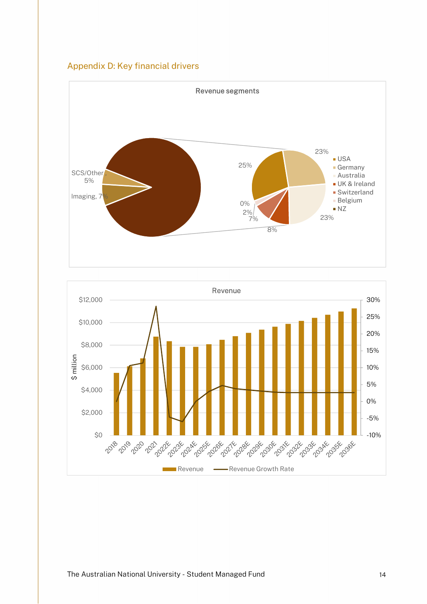



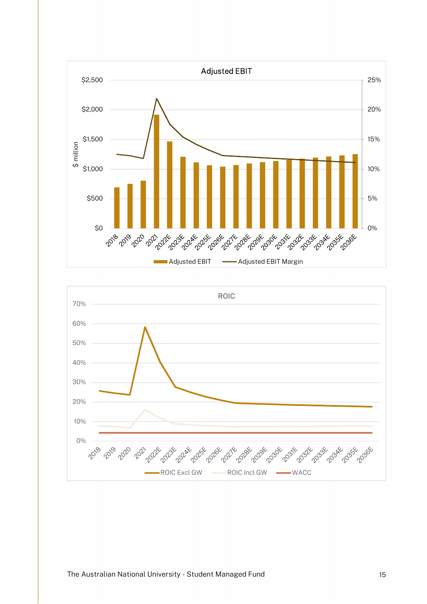